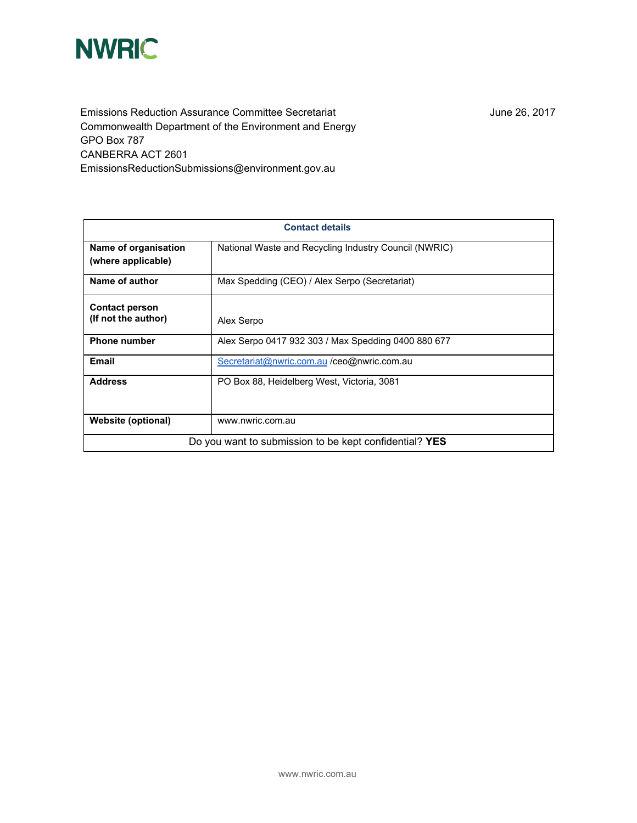

Emissions Reduction Assurance Committee Secretariat Commonwealth Department of the Environment and Energy GPO Box 787 CANBERRA ACT 2601 EmissionsReductionSubmissions@environment.gov.au

June 26, 2017

| <b>Contact details</b>                                 |                                                       |
|--------------------------------------------------------|-------------------------------------------------------|
| Name of organisation<br>(where applicable)             | National Waste and Recycling Industry Council (NWRIC) |
| Name of author                                         | Max Spedding (CEO) / Alex Serpo (Secretariat)         |
| <b>Contact person</b><br>(If not the author)           | Alex Serpo                                            |
| <b>Phone number</b>                                    | Alex Serpo 0417 932 303 / Max Spedding 0400 880 677   |
| Email                                                  | Secretariat@nwric.com.au /ceo@nwric.com.au            |
| <b>Address</b>                                         | PO Box 88, Heidelberg West, Victoria, 3081            |
| <b>Website (optional)</b>                              | www.nwric.com.au                                      |
| Do you want to submission to be kept confidential? YES |                                                       |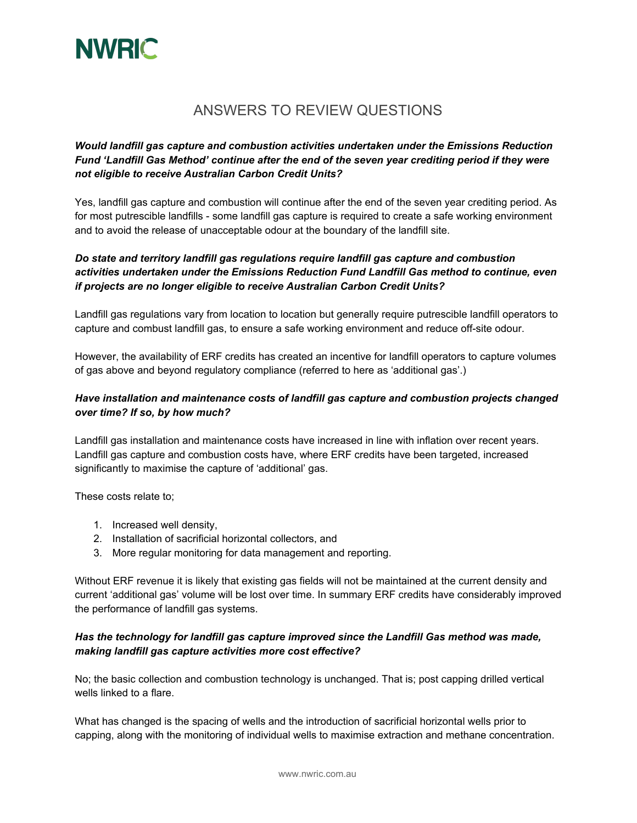

# ANSWERS TO REVIEW QUESTIONS

## *Would landfill gas capture and combustion activities undertaken under the Emissions Reduction Fund 'Landfill Gas Method' continue after the end of the seven year crediting period if they were not eligible to receive Australian Carbon Credit Units?*

Yes, landfill gas capture and combustion will continue after the end of the seven year crediting period. As for most putrescible landfills - some landfill gas capture is required to create a safe working environment and to avoid the release of unacceptable odour at the boundary of the landfill site.

# *Do state and territory landfill gas regulations require landfill gas capture and combustion activities undertaken under the Emissions Reduction Fund Landfill Gas method to continue, even if projects are no longer eligible to receive Australian Carbon Credit Units?*

Landfill gas regulations vary from location to location but generally require putrescible landfill operators to capture and combust landfill gas, to ensure a safe working environment and reduce off-site odour.

However, the availability of ERF credits has created an incentive for landfill operators to capture volumes of gas above and beyond regulatory compliance (referred to here as 'additional gas'.)

## *Have installation and maintenance costs of landfill gas capture and combustion projects changed over time? If so, by how much?*

Landfill gas installation and maintenance costs have increased in line with inflation over recent years. Landfill gas capture and combustion costs have, where ERF credits have been targeted, increased significantly to maximise the capture of 'additional' gas.

These costs relate to;

- 1. Increased well density,
- 2. Installation of sacrificial horizontal collectors, and
- 3. More regular monitoring for data management and reporting.

Without ERF revenue it is likely that existing gas fields will not be maintained at the current density and current 'additional gas' volume will be lost over time. In summary ERF credits have considerably improved the performance of landfill gas systems.

#### *Has the technology for landfill gas capture improved since the Landfill Gas method was made, making landfill gas capture activities more cost effective?*

No; the basic collection and combustion technology is unchanged. That is; post capping drilled vertical wells linked to a flare.

What has changed is the spacing of wells and the introduction of sacrificial horizontal wells prior to capping, along with the monitoring of individual wells to maximise extraction and methane concentration.